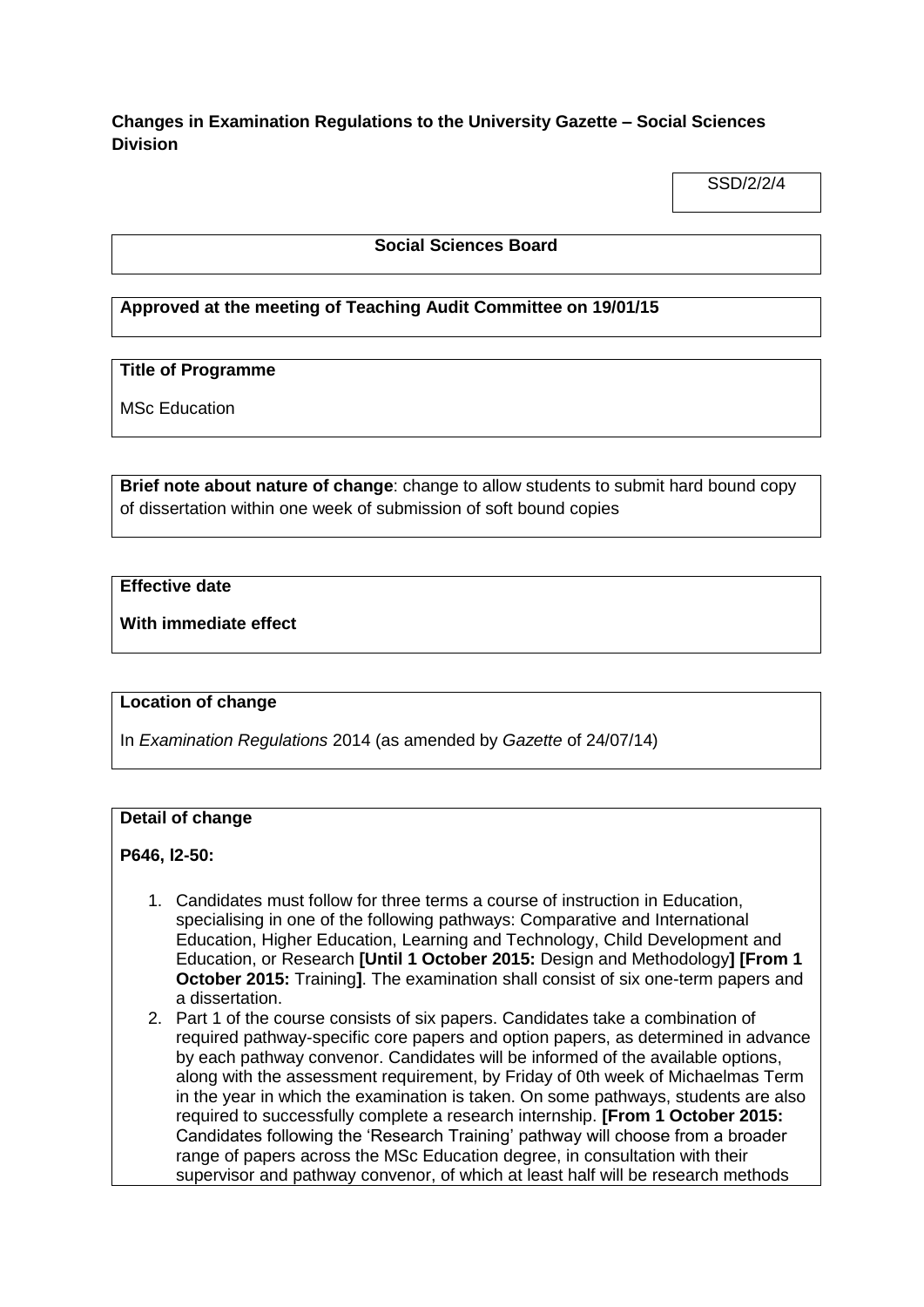# **Changes in Examination Regulations to the University Gazette – Social Sciences Division**

SSD/2/2/4

### **Social Sciences Board**

## **Approved at the meeting of Teaching Audit Committee on 19/01/15**

## **Title of Programme**

MSc Education

**Brief note about nature of change**: change to allow students to submit hard bound copy of dissertation within one week of submission of soft bound copies

# **Effective date**

**With immediate effect**

### **Location of change**

In *Examination Regulations* 2014 (as amended by *Gazette* of 24/07/14)

#### **Detail of change**

#### **P646, l2-50:**

- 1. Candidates must follow for three terms a course of instruction in Education, specialising in one of the following pathways: Comparative and International Education, Higher Education, Learning and Technology, Child Development and Education, or Research **[Until 1 October 2015:** Design and Methodology**] [From 1 October 2015:** Training**]**. The examination shall consist of six one-term papers and a dissertation.
- 2. Part 1 of the course consists of six papers. Candidates take a combination of required pathway-specific core papers and option papers, as determined in advance by each pathway convenor. Candidates will be informed of the available options, along with the assessment requirement, by Friday of 0th week of Michaelmas Term in the year in which the examination is taken. On some pathways, students are also required to successfully complete a research internship. **[From 1 October 2015:**  Candidates following the 'Research Training' pathway will choose from a broader range of papers across the MSc Education degree, in consultation with their supervisor and pathway convenor, of which at least half will be research methods